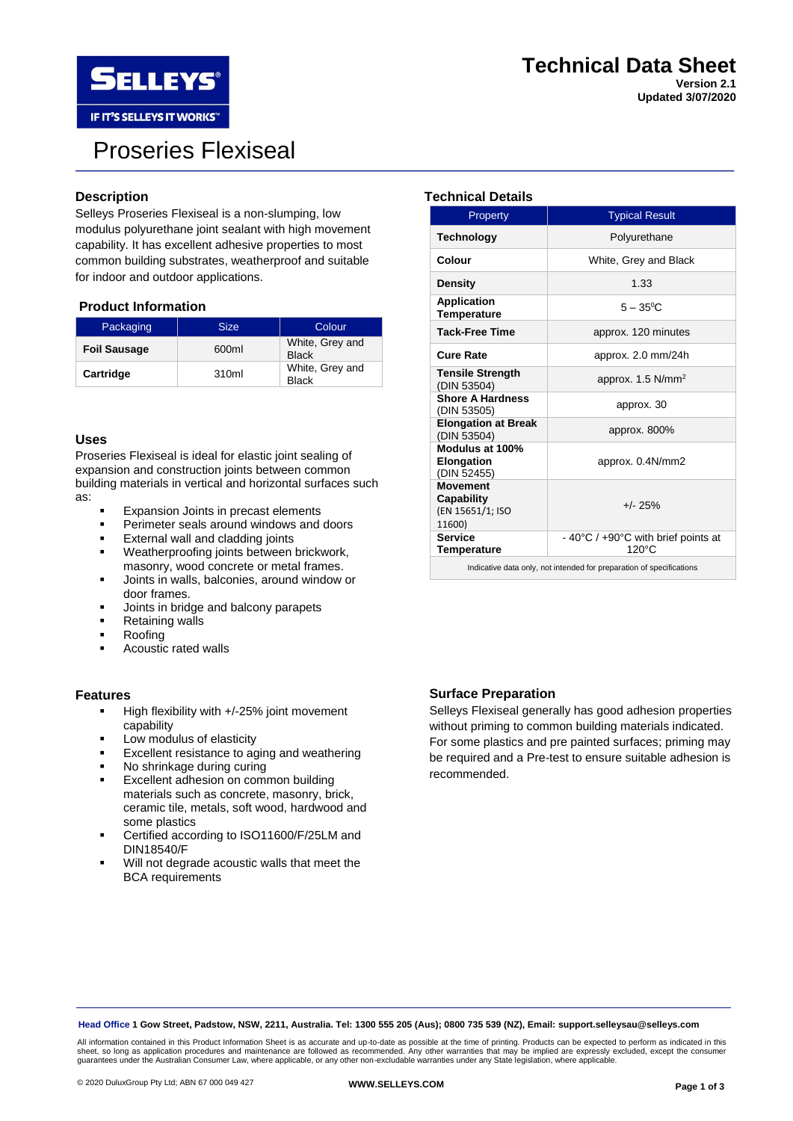

# Proseries Flexiseal

### **Description**

Selleys Proseries Flexiseal is a non-slumping, low modulus polyurethane joint sealant with high movement capability. It has excellent adhesive properties to most common building substrates, weatherproof and suitable for indoor and outdoor applications.

#### **Product Information**

| Packaging           | <b>Size</b> | Colour                          |
|---------------------|-------------|---------------------------------|
| <b>Foil Sausage</b> | 600ml       | White, Grey and<br><b>Black</b> |
| Cartridge           | 310ml       | White, Grey and<br><b>Black</b> |

#### **Uses**

Proseries Flexiseal is ideal for elastic joint sealing of expansion and construction joints between common building materials in vertical and horizontal surfaces such as:

- **Expansion Joints in precast elements**
- **•** Perimeter seals around windows and doors
- **External wall and cladding joints**
- Weatherproofing joints between brickwork, masonry, wood concrete or metal frames.
- Joints in walls, balconies, around window or door frames.
- **■** Joints in bridge and balcony parapets
- Retaining walls
- **Roofing**
- Acoustic rated walls

#### **Features**

- High flexibility with +/-25% joint movement capability
- Low modulus of elasticity
- Excellent resistance to aging and weathering
- No shrinkage during curing
- Excellent adhesion on common building materials such as concrete, masonry, brick, ceramic tile, metals, soft wood, hardwood and some plastics
- Certified according to ISO11600/F/25LM and DIN18540/F
- Will not degrade acoustic walls that meet the BCA requirements

### **Technical Details**

| Property                                                    | <b>Typical Result</b>                        |  |
|-------------------------------------------------------------|----------------------------------------------|--|
| <b>Technology</b>                                           | Polyurethane                                 |  |
| Colour                                                      | White, Grey and Black                        |  |
| <b>Density</b>                                              | 1.33                                         |  |
| <b>Application</b><br><b>Temperature</b>                    | $5 - 35^{\circ}$ C                           |  |
| <b>Tack-Free Time</b>                                       | approx. 120 minutes                          |  |
| Cure Rate                                                   | approx. $2.0 \text{ mm}/24h$                 |  |
| <b>Tensile Strength</b><br>(DIN 53504)                      | approx. 1.5 N/mm <sup>2</sup>                |  |
| <b>Shore A Hardness</b><br>(DIN 53505)                      | approx. 30                                   |  |
| <b>Elongation at Break</b><br>(DIN 53504)                   | approx. $800\%$                              |  |
| Modulus at 100%<br>Elongation<br>(DIN 52455)                | approx. 0.4N/mm2                             |  |
| <b>Movement</b><br>Capability<br>(EN 15651/1; ISO<br>11600) | $+/- 25%$                                    |  |
| <b>Service</b><br><b>Temperature</b>                        | - 40°C / +90°C with brief points at<br>120°C |  |

Indicative data only, not intended for preparation of specifications

### **Surface Preparation**

Selleys Flexiseal generally has good adhesion properties without priming to common building materials indicated. For some plastics and pre painted surfaces; priming may be required and a Pre-test to ensure suitable adhesion is recommended.

**Head Office 1 Gow Street, Padstow, NSW, 2211, Australia. Tel: 1300 555 205 (Aus); 0800 735 539 (NZ), Email: support.selleysau@selleys.com**

All information contained in this Product Information Sheet is as accurate and up-to-date as possible at the time of printing. Products can be expected to perform as indicated in this sheet, so long as application procedures and maintenance are followed as recommended. Any other warranties that may be implied are expressly excluded, except the consumer<br>guarantees under the Australian Consumer Law, where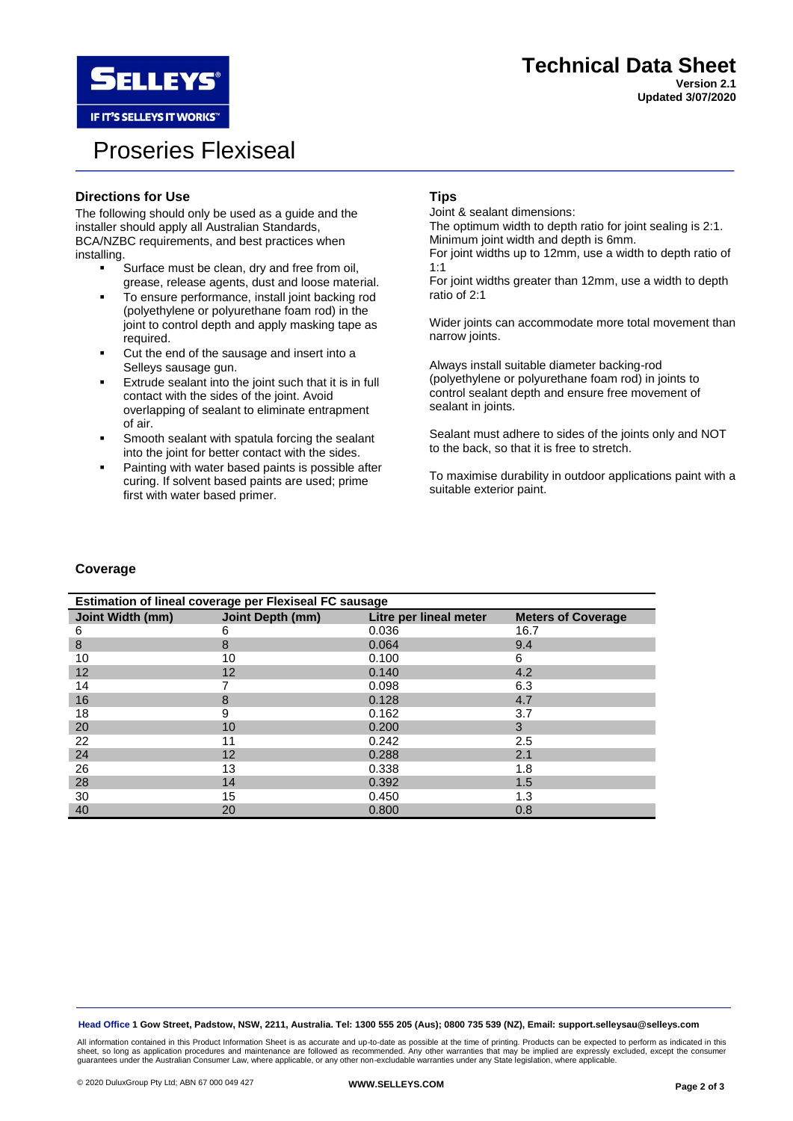

IF IT'S SELLEYS IT WORKS"

# Proseries Flexiseal

# **Directions for Use**

The following should only be used as a guide and the installer should apply all Australian Standards, BCA/NZBC requirements, and best practices when installing.

- Surface must be clean, dry and free from oil, grease, release agents, dust and loose material.
- To ensure performance, install joint backing rod (polyethylene or polyurethane foam rod) in the joint to control depth and apply masking tape as required.
- Cut the end of the sausage and insert into a Selleys sausage gun.
- Extrude sealant into the joint such that it is in full contact with the sides of the joint. Avoid overlapping of sealant to eliminate entrapment of air.
- Smooth sealant with spatula forcing the sealant into the joint for better contact with the sides.
- Painting with water based paints is possible after curing. If solvent based paints are used; prime first with water based primer.

### **Tips**

Joint & sealant dimensions: The optimum width to depth ratio for joint sealing is 2:1.

Minimum joint width and depth is 6mm.

For joint widths up to 12mm, use a width to depth ratio of 1:1

For joint widths greater than 12mm, use a width to depth ratio of 2:1

Wider joints can accommodate more total movement than narrow joints.

Always install suitable diameter backing-rod (polyethylene or polyurethane foam rod) in joints to control sealant depth and ensure free movement of sealant in joints.

Sealant must adhere to sides of the joints only and NOT to the back, so that it is free to stretch.

To maximise durability in outdoor applications paint with a suitable exterior paint.

### **Coverage**

| Estimation of lineal coverage per Flexiseal FC sausage |                  |                        |                           |  |  |
|--------------------------------------------------------|------------------|------------------------|---------------------------|--|--|
| Joint Width (mm)                                       | Joint Depth (mm) | Litre per lineal meter | <b>Meters of Coverage</b> |  |  |
| 6                                                      | 6                | 0.036                  | 16.7                      |  |  |
| 8                                                      | 8                | 0.064                  | 9.4                       |  |  |
| 10                                                     | 10               | 0.100                  | 6                         |  |  |
| 12                                                     | 12               | 0.140                  | 4.2                       |  |  |
| 14                                                     |                  | 0.098                  | 6.3                       |  |  |
| 16                                                     | 8                | 0.128                  | 4.7                       |  |  |
| 18                                                     | 9                | 0.162                  | 3.7                       |  |  |
| 20                                                     | 10               | 0.200                  | 3                         |  |  |
| 22                                                     | 11               | 0.242                  | 2.5                       |  |  |
| 24                                                     | 12               | 0.288                  | 2.1                       |  |  |
| 26                                                     | 13               | 0.338                  | 1.8                       |  |  |
| 28                                                     | 14               | 0.392                  | 1.5                       |  |  |
| 30                                                     | 15               | 0.450                  | 1.3                       |  |  |
| 40                                                     | 20               | 0.800                  | 0.8                       |  |  |

**Head Office 1 Gow Street, Padstow, NSW, 2211, Australia. Tel: 1300 555 205 (Aus); 0800 735 539 (NZ), Email: support.selleysau@selleys.com**

All information contained in this Product Information Sheet is as accurate and up-to-date as possible at the time of printing. Products can be expected to perform as indicated in this<br>sheet, so long as application procedur